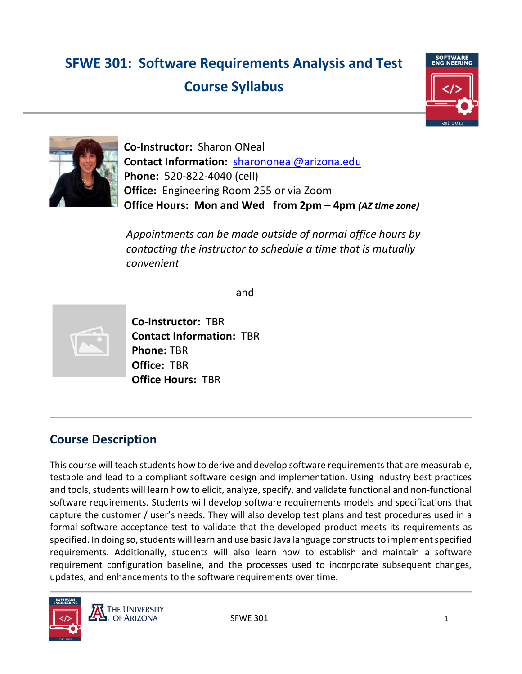# **SFWE 301: Software Requirements Analysis and Test Course Syllabus**





**Co-Instructor:** Sharon ONeal **Contact Information:** [sharononeal@arizona.edu](mailto:sharononeal@arizona.edu) **Phone:** 520-822-4040 (cell) **Office:** Engineering Room 255 or via Zoom **Office Hours: Mon and Wed from 2pm – 4pm** *(AZ time zone)*

*Appointments can be made outside of normal office hours by contacting the instructor to schedule a time that is mutually convenient*

and



**Co-Instructor:** TBR **Contact Information:** TBR **Phone:** TBR **Office:** TBR **Office Hours:** TBR

# **Course Description**

This course will teach students how to derive and develop software requirements that are measurable, testable and lead to a compliant software design and implementation. Using industry best practices and tools, students will learn how to elicit, analyze, specify, and validate functional and non-functional software requirements. Students will develop software requirements models and specifications that capture the customer / user's needs. They will also develop test plans and test procedures used in a formal software acceptance test to validate that the developed product meets its requirements as specified. In doing so, students will learn and use basic Java language constructs to implement specified requirements. Additionally, students will also learn how to establish and maintain a software requirement configuration baseline, and the processes used to incorporate subsequent changes, updates, and enhancements to the software requirements over time.

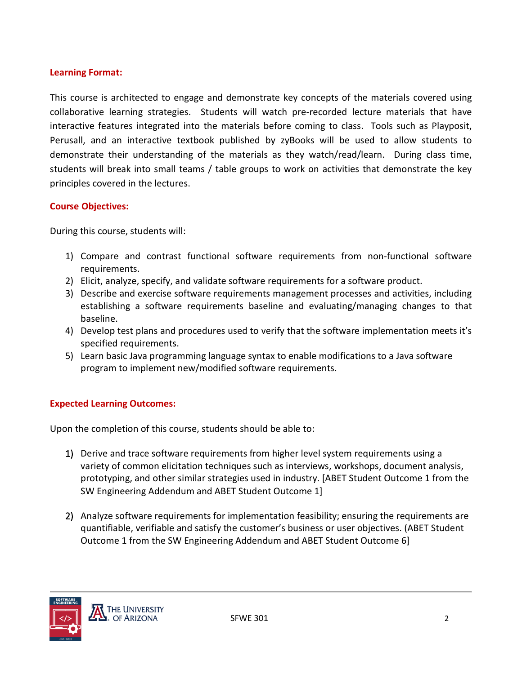#### **Learning Format:**

This course is architected to engage and demonstrate key concepts of the materials covered using collaborative learning strategies. Students will watch pre-recorded lecture materials that have interactive features integrated into the materials before coming to class. Tools such as Playposit, Perusall, and an interactive textbook published by zyBooks will be used to allow students to demonstrate their understanding of the materials as they watch/read/learn. During class time, students will break into small teams / table groups to work on activities that demonstrate the key principles covered in the lectures.

#### **Course Objectives:**

During this course, students will:

- 1) Compare and contrast functional software requirements from non-functional software requirements.
- 2) Elicit, analyze, specify, and validate software requirements for a software product.
- 3) Describe and exercise software requirements management processes and activities, including establishing a software requirements baseline and evaluating/managing changes to that baseline.
- 4) Develop test plans and procedures used to verify that the software implementation meets it's specified requirements.
- 5) Learn basic Java programming language syntax to enable modifications to a Java software program to implement new/modified software requirements.

# **Expected Learning Outcomes:**

Upon the completion of this course, students should be able to:

- 1) Derive and trace software requirements from higher level system requirements using a variety of common elicitation techniques such as interviews, workshops, document analysis, prototyping, and other similar strategies used in industry. [ABET Student Outcome 1 from the SW Engineering Addendum and ABET Student Outcome 1]
- 2) Analyze software requirements for implementation feasibility; ensuring the requirements are quantifiable, verifiable and satisfy the customer's business or user objectives. (ABET Student Outcome 1 from the SW Engineering Addendum and ABET Student Outcome 6]

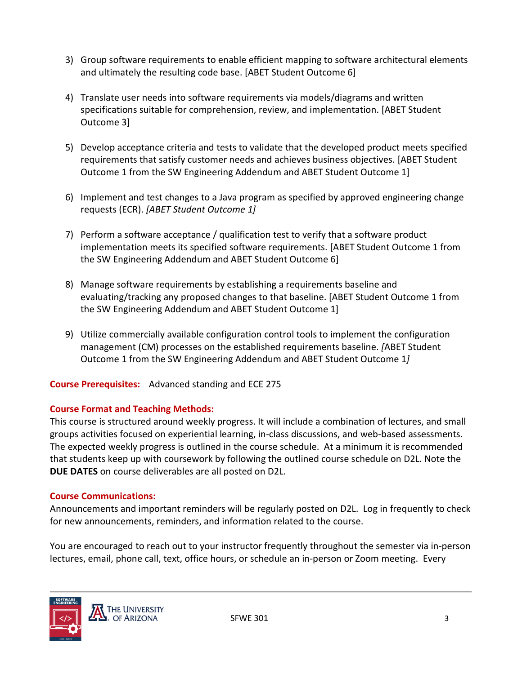- 3) Group software requirements to enable efficient mapping to software architectural elements and ultimately the resulting code base. [ABET Student Outcome 6]
- 4) Translate user needs into software requirements via models/diagrams and written specifications suitable for comprehension, review, and implementation. [ABET Student Outcome 3]
- 5) Develop acceptance criteria and tests to validate that the developed product meets specified requirements that satisfy customer needs and achieves business objectives. [ABET Student Outcome 1 from the SW Engineering Addendum and ABET Student Outcome 1]
- 6) Implement and test changes to a Java program as specified by approved engineering change requests (ECR). *[ABET Student Outcome 1]*
- 7) Perform a software acceptance / qualification test to verify that a software product implementation meets its specified software requirements. [ABET Student Outcome 1 from the SW Engineering Addendum and ABET Student Outcome 6]
- 8) Manage software requirements by establishing a requirements baseline and evaluating/tracking any proposed changes to that baseline. [ABET Student Outcome 1 from the SW Engineering Addendum and ABET Student Outcome 1]
- 9) Utilize commercially available configuration control tools to implement the configuration management (CM) processes on the established requirements baseline. *[*ABET Student Outcome 1 from the SW Engineering Addendum and ABET Student Outcome 1*]*

**Course Prerequisites:** Advanced standing and ECE 275

# **Course Format and Teaching Methods:**

This course is structured around weekly progress. It will include a combination of lectures, and small groups activities focused on experiential learning, in-class discussions, and web-based assessments. The expected weekly progress is outlined in the course schedule. At a minimum it is recommended that students keep up with coursework by following the outlined course schedule on D2L. Note the **DUE DATES** on course deliverables are all posted on D2L.

# **Course Communications:**

Announcements and important reminders will be regularly posted on D2L. Log in frequently to check for new announcements, reminders, and information related to the course.

You are encouraged to reach out to your instructor frequently throughout the semester via in-person lectures, email, phone call, text, office hours, or schedule an in-person or Zoom meeting. Every

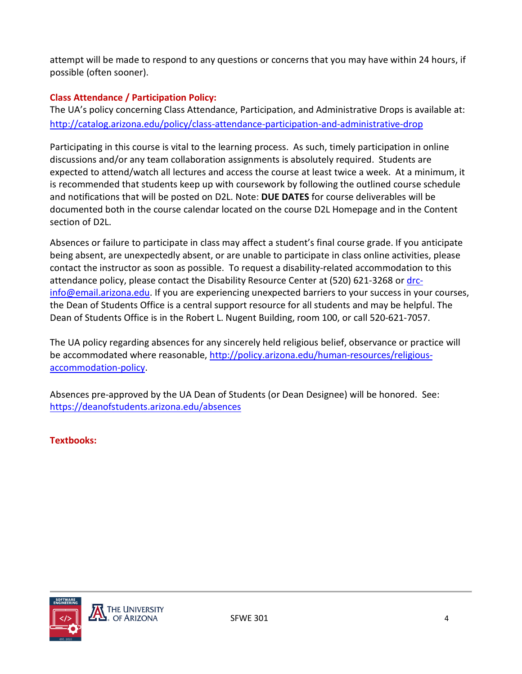attempt will be made to respond to any questions or concerns that you may have within 24 hours, if possible (often sooner).

# **Class Attendance / Participation Policy:**

The UA's policy concerning Class Attendance, Participation, and Administrative Drops is available at: <http://catalog.arizona.edu/policy/class-attendance-participation-and-administrative-drop>

Participating in this course is vital to the learning process. As such, timely participation in online discussions and/or any team collaboration assignments is absolutely required. Students are expected to attend/watch all lectures and access the course at least twice a week. At a minimum, it is recommended that students keep up with coursework by following the outlined course schedule and notifications that will be posted on D2L. Note: **DUE DATES** for course deliverables will be documented both in the course calendar located on the course D2L Homepage and in the Content section of D2L.

Absences or failure to participate in class may affect a student's final course grade. If you anticipate being absent, are unexpectedly absent, or are unable to participate in class online activities, please contact the instructor as soon as possible. To request a disability-related accommodation to this attendance policy, please contact the Disability Resource Center at (520) 621-3268 or [drc](mailto:drc-info@email.arizona.edu)[info@email.arizona.edu.](mailto:drc-info@email.arizona.edu) If you are experiencing unexpected barriers to your success in your courses, the Dean of Students Office is a central support resource for all students and may be helpful. The Dean of Students Office is in the Robert L. Nugent Building, room 100, or call 520-621-7057.

The UA policy regarding absences for any sincerely held religious belief, observance or practice will be accommodated where reasonable[, http://policy.arizona.edu/human-resources/religious](http://policy.arizona.edu/human-resources/religious-accommodation-policy)[accommodation-policy.](http://policy.arizona.edu/human-resources/religious-accommodation-policy)

Absences pre-approved by the UA Dean of Students (or Dean Designee) will be honored. See: <https://deanofstudents.arizona.edu/absences>

**Textbooks:**

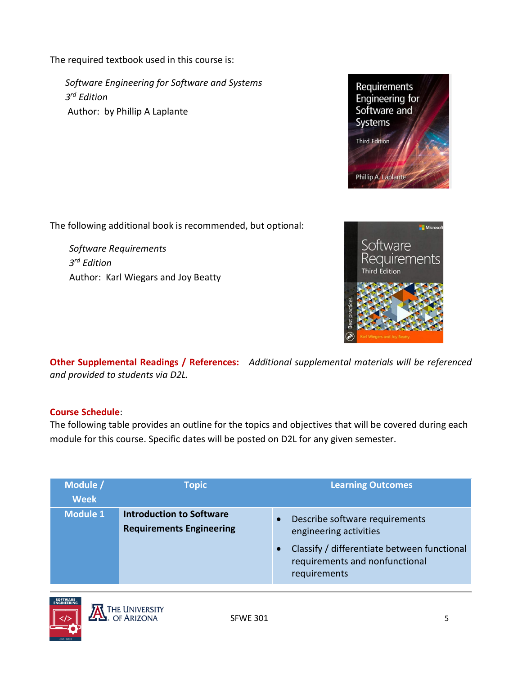The required textbook used in this course is:

*Software Engineering for Software and Systems 3rd Edition* Author: by Phillip A Laplante



The following additional book is recommended, but optional:

*Software Requirements*<br>*3<sup>rd</sup> Edition* Requirements *3rd Edition* Author: Karl Wiegars and Joy Beatty



**Other Supplemental Readings / References:** *Additional supplemental materials will be referenced and provided to students via D2L.*

# **Course Schedule**:

The following table provides an outline for the topics and objectives that will be covered during each module for this course. Specific dates will be posted on D2L for any given semester.

| Module /<br><b>Week</b> | <b>Topic</b>                                                       | <b>Learning Outcomes</b>                                                                                                                                               |
|-------------------------|--------------------------------------------------------------------|------------------------------------------------------------------------------------------------------------------------------------------------------------------------|
| <b>Module 1</b>         | <b>Introduction to Software</b><br><b>Requirements Engineering</b> | Describe software requirements<br>$\bullet$<br>engineering activities<br>Classify / differentiate between functional<br>requirements and nonfunctional<br>requirements |

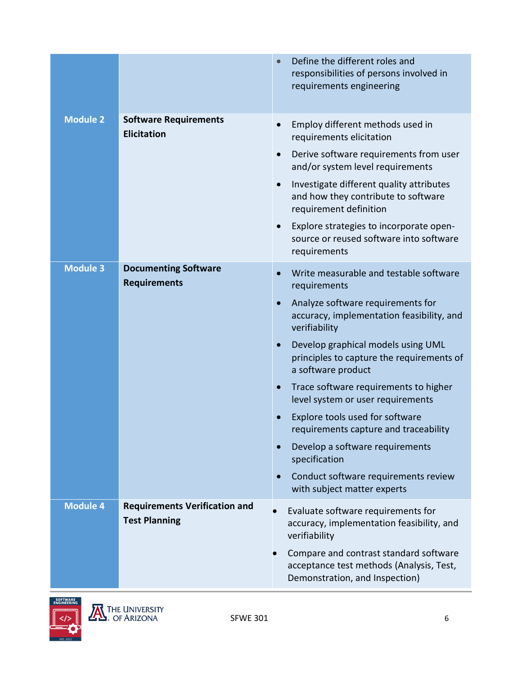|                 |                                                              | Define the different roles and<br>$\bullet$<br>responsibilities of persons involved in<br>requirements engineering                                                                                                                                                                                                                                                                                                                                                                                                                                                                                                                    |
|-----------------|--------------------------------------------------------------|---------------------------------------------------------------------------------------------------------------------------------------------------------------------------------------------------------------------------------------------------------------------------------------------------------------------------------------------------------------------------------------------------------------------------------------------------------------------------------------------------------------------------------------------------------------------------------------------------------------------------------------|
| <b>Module 2</b> | <b>Software Requirements</b><br><b>Elicitation</b>           | Employ different methods used in<br>$\bullet$<br>requirements elicitation<br>Derive software requirements from user<br>$\bullet$<br>and/or system level requirements<br>Investigate different quality attributes<br>$\bullet$<br>and how they contribute to software<br>requirement definition<br>Explore strategies to incorporate open-<br>$\bullet$<br>source or reused software into software<br>requirements                                                                                                                                                                                                                     |
| <b>Module 3</b> | <b>Documenting Software</b><br><b>Requirements</b>           | Write measurable and testable software<br>$\bullet$<br>requirements<br>Analyze software requirements for<br>$\bullet$<br>accuracy, implementation feasibility, and<br>verifiability<br>Develop graphical models using UML<br>$\bullet$<br>principles to capture the requirements of<br>a software product<br>Trace software requirements to higher<br>$\bullet$<br>level system or user requirements<br>Explore tools used for software<br>requirements capture and traceability<br>Develop a software requirements<br>$\bullet$<br>specification<br>Conduct software requirements review<br>$\bullet$<br>with subject matter experts |
| <b>Module 4</b> | <b>Requirements Verification and</b><br><b>Test Planning</b> | Evaluate software requirements for<br>accuracy, implementation feasibility, and<br>verifiability<br>Compare and contrast standard software<br>acceptance test methods (Analysis, Test,<br>Demonstration, and Inspection)                                                                                                                                                                                                                                                                                                                                                                                                              |

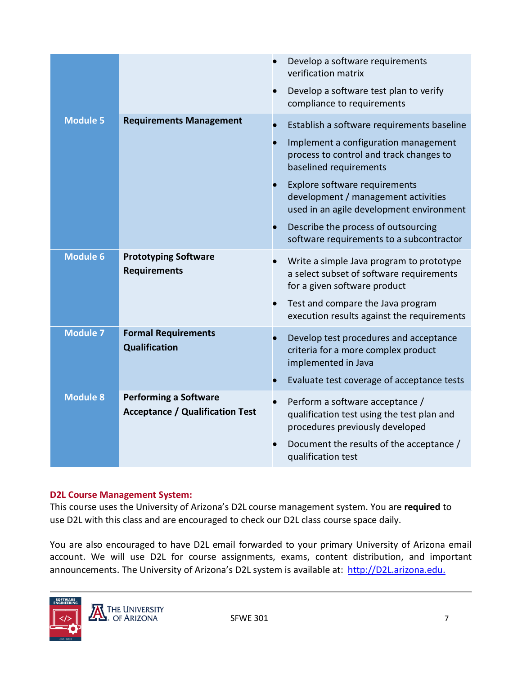|                 |                                                                        | Develop a software requirements<br>verification matrix                                                               |
|-----------------|------------------------------------------------------------------------|----------------------------------------------------------------------------------------------------------------------|
|                 |                                                                        | Develop a software test plan to verify<br>compliance to requirements                                                 |
| <b>Module 5</b> | <b>Requirements Management</b>                                         | Establish a software requirements baseline                                                                           |
|                 |                                                                        | Implement a configuration management<br>process to control and track changes to<br>baselined requirements            |
|                 |                                                                        | Explore software requirements<br>development / management activities<br>used in an agile development environment     |
|                 |                                                                        | Describe the process of outsourcing<br>software requirements to a subcontractor                                      |
| <b>Module 6</b> | <b>Prototyping Software</b><br><b>Requirements</b>                     | Write a simple Java program to prototype<br>a select subset of software requirements<br>for a given software product |
|                 |                                                                        | Test and compare the Java program<br>execution results against the requirements                                      |
| <b>Module 7</b> | <b>Formal Requirements</b><br>Qualification                            | Develop test procedures and acceptance<br>criteria for a more complex product<br>implemented in Java                 |
|                 |                                                                        | Evaluate test coverage of acceptance tests                                                                           |
| <b>Module 8</b> | <b>Performing a Software</b><br><b>Acceptance / Qualification Test</b> | Perform a software acceptance /<br>qualification test using the test plan and<br>procedures previously developed     |
|                 |                                                                        | Document the results of the acceptance /<br>qualification test                                                       |
|                 |                                                                        |                                                                                                                      |

#### **D2L Course Management System:**

This course uses the University of Arizona's D2L course management system. You are **required** to use D2L with this class and are encouraged to check our D2L class course space daily.

You are also encouraged to have D2L email forwarded to your primary University of Arizona email account. We will use D2L for course assignments, exams, content distribution, and important announcements. The University of Arizona's D2L system is available at: [http://D2L.arizona.edu.](http://d2l.arizona.edu./)

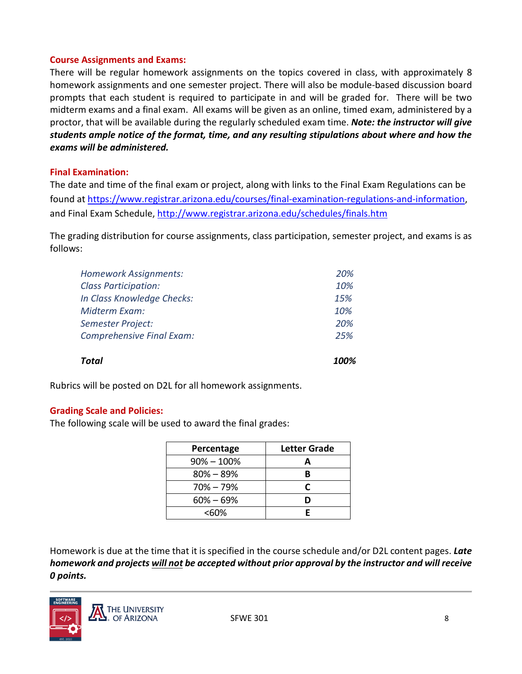#### **Course Assignments and Exams:**

There will be regular homework assignments on the topics covered in class, with approximately 8 homework assignments and one semester project. There will also be module-based discussion board prompts that each student is required to participate in and will be graded for. There will be two midterm exams and a final exam. All exams will be given as an online, timed exam, administered by a proctor, that will be available during the regularly scheduled exam time. *Note: the instructor will give students ample notice of the format, time, and any resulting stipulations about where and how the exams will be administered.* 

#### **Final Examination:**

The date and time of the final exam or project, along with links to the Final Exam Regulations can be found a[t https://www.registrar.arizona.edu/courses/final-examination-regulations-and-information,](https://www.registrar.arizona.edu/courses/final-examination-regulations-and-information) and Final Exam Schedule,<http://www.registrar.arizona.edu/schedules/finals.htm>

The grading distribution for course assignments, class participation, semester project, and exams is as follows:

| <b>Total</b>                     | 100% |
|----------------------------------|------|
| <b>Comprehensive Final Exam:</b> | 25%  |
| <b>Semester Project:</b>         | 20%  |
| Midterm Exam:                    | 10%  |
| In Class Knowledge Checks:       | 15%  |
| <b>Class Participation:</b>      | 10%  |
| <b>Homework Assignments:</b>     | 20%  |

Rubrics will be posted on D2L for all homework assignments.

#### **Grading Scale and Policies:**

The following scale will be used to award the final grades:

| Percentage     | Letter Grade |
|----------------|--------------|
| $90\% - 100\%$ |              |
| $80\% - 89\%$  | R            |
| $70\% - 79\%$  | r            |
| $60\% - 69\%$  |              |
| <60%           |              |

Homework is due at the time that it is specified in the course schedule and/or D2L content pages. *Late homework and projects will not be accepted without prior approval by the instructor and will receive 0 points.*

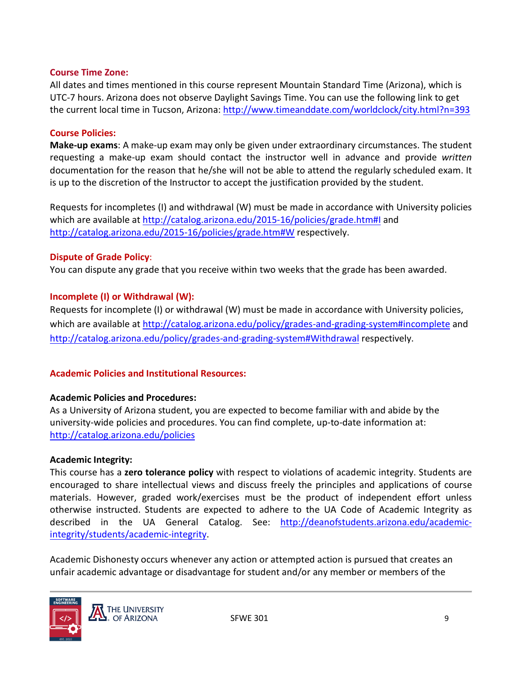#### **Course Time Zone:**

All dates and times mentioned in this course represent Mountain Standard Time (Arizona), which is UTC-7 hours. Arizona does not observe Daylight Savings Time. You can use the following link to get the current local time in Tucson, Arizona[: http://www.timeanddate.com/worldclock/city.html?n=393](http://www.timeanddate.com/worldclock/city.html?n=393)

#### **Course Policies:**

**Make-up exams**: A make-up exam may only be given under extraordinary circumstances. The student requesting a make-up exam should contact the instructor well in advance and provide *written* documentation for the reason that he/she will not be able to attend the regularly scheduled exam. It is up to the discretion of the Instructor to accept the justification provided by the student.

Requests for incompletes (I) and withdrawal (W) must be made in accordance with University policies which are available at<http://catalog.arizona.edu/2015-16/policies/grade.htm#I> and <http://catalog.arizona.edu/2015-16/policies/grade.htm#W> respectively.

#### **Dispute of Grade Policy**:

You can dispute any grade that you receive within two weeks that the grade has been awarded.

#### **Incomplete (I) or Withdrawal (W):**

Requests for incomplete (I) or withdrawal (W) must be made in accordance with University policies, which are available at<http://catalog.arizona.edu/policy/grades-and-grading-system#incomplete> and <http://catalog.arizona.edu/policy/grades-and-grading-system#Withdrawal> respectively.

# **Academic Policies and Institutional Resources:**

#### **Academic Policies and Procedures:**

As a University of Arizona student, you are expected to become familiar with and abide by the university-wide policies and procedures. You can find complete, up-to-date information at: <http://catalog.arizona.edu/policies>

#### **Academic Integrity:**

This course has a **zero tolerance policy** with respect to violations of academic integrity. Students are encouraged to share intellectual views and discuss freely the principles and applications of course materials. However, graded work/exercises must be the product of independent effort unless otherwise instructed. Students are expected to adhere to the UA Code of Academic Integrity as described in the UA General Catalog. See: [http://deanofstudents.arizona.edu/academic](http://deanofstudents.arizona.edu/academic-integrity/students/academic-integrity)[integrity/students/academic-integrity.](http://deanofstudents.arizona.edu/academic-integrity/students/academic-integrity)

Academic Dishonesty occurs whenever any action or attempted action is pursued that creates an unfair academic advantage or disadvantage for student and/or any member or members of the

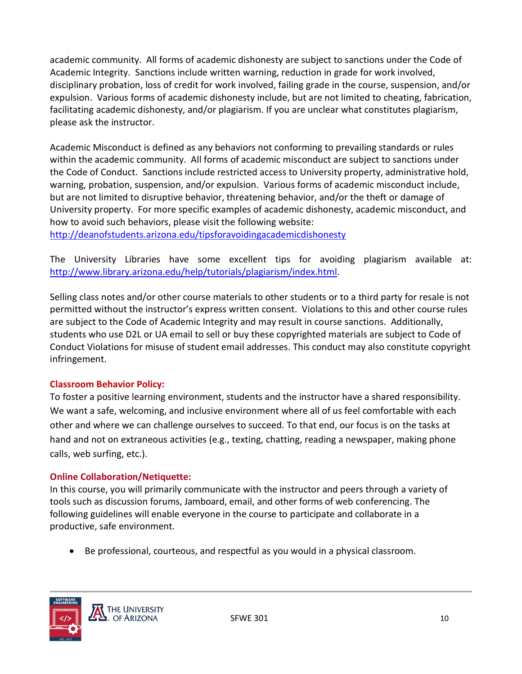academic community. All forms of academic dishonesty are subject to sanctions under the Code of Academic Integrity. Sanctions include written warning, reduction in grade for work involved, disciplinary probation, loss of credit for work involved, failing grade in the course, suspension, and/or expulsion. Various forms of academic dishonesty include, but are not limited to cheating, fabrication, facilitating academic dishonesty, and/or plagiarism. If you are unclear what constitutes plagiarism, please ask the instructor.

Academic Misconduct is defined as any behaviors not conforming to prevailing standards or rules within the academic community. All forms of academic misconduct are subject to sanctions under the Code of Conduct. Sanctions include restricted access to University property, administrative hold, warning, probation, suspension, and/or expulsion. Various forms of academic misconduct include, but are not limited to disruptive behavior, threatening behavior, and/or the theft or damage of University property. For more specific examples of academic dishonesty, academic misconduct, and how to avoid such behaviors, please visit the following website:

<http://deanofstudents.arizona.edu/tipsforavoidingacademicdishonesty>

The University Libraries have some excellent tips for avoiding plagiarism available at: [http://www.library.arizona.edu/help/tutorials/plagiarism/index.html.](http://www.library.arizona.edu/help/tutorials/plagiarism/index.html)

Selling class notes and/or other course materials to other students or to a third party for resale is not permitted without the instructor's express written consent. Violations to this and other course rules are subject to the Code of Academic Integrity and may result in course sanctions. Additionally, students who use D2L or UA email to sell or buy these copyrighted materials are subject to Code of Conduct Violations for misuse of student email addresses. This conduct may also constitute copyright infringement.

# **Classroom Behavior Policy:**

To foster a positive learning environment, students and the instructor have a shared responsibility. We want a safe, welcoming, and inclusive environment where all of us feel comfortable with each other and where we can challenge ourselves to succeed. To that end, our focus is on the tasks at hand and not on extraneous activities (e.g., texting, chatting, reading a newspaper, making phone calls, web surfing, etc.).

# **Online Collaboration/Netiquette:**

In this course, you will primarily communicate with the instructor and peers through a variety of tools such as discussion forums, Jamboard, email, and other forms of web conferencing. The following guidelines will enable everyone in the course to participate and collaborate in a productive, safe environment.

• Be professional, courteous, and respectful as you would in a physical classroom.

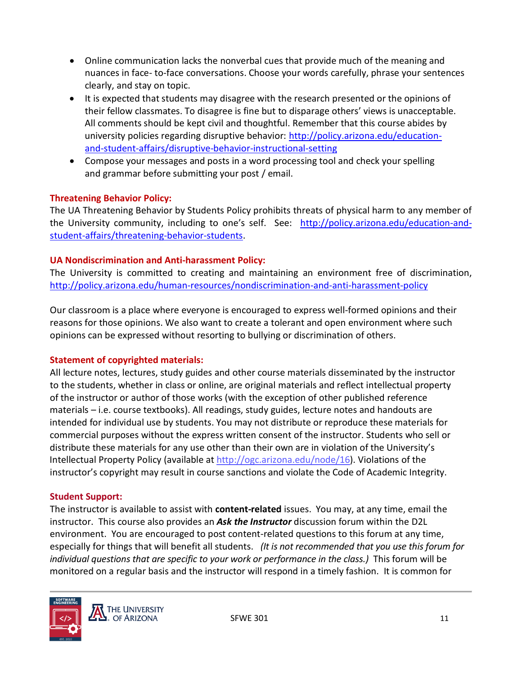- Online communication lacks the nonverbal cues that provide much of the meaning and nuances in face- to-face conversations. Choose your words carefully, phrase your sentences clearly, and stay on topic.
- It is expected that students may disagree with the research presented or the opinions of their fellow classmates. To disagree is fine but to disparage others' views is unacceptable. All comments should be kept civil and thoughtful. Remember that this course abides by university policies regarding disruptive behavior: [http://policy.arizona.edu/education](http://policy.arizona.edu/education-and-student-affairs/disruptive-behavior-instructional-setting)[and-student-affairs/disruptive-behavior-instructional-setting](http://policy.arizona.edu/education-and-student-affairs/disruptive-behavior-instructional-setting)
- Compose your messages and posts in a word processing tool and check your spelling and grammar before submitting your post / email.

# **Threatening Behavior Policy:**

The UA Threatening Behavior by Students Policy prohibits threats of physical harm to any member of the University community, including to one's self. See: [http://policy.arizona.edu/education-and](http://policy.arizona.edu/education-and-student-affairs/threatening-behavior-students)[student-affairs/threatening-behavior-students.](http://policy.arizona.edu/education-and-student-affairs/threatening-behavior-students)

# **UA Nondiscrimination and Anti-harassment Policy:**

The University is committed to creating and maintaining an environment free of discrimination, <http://policy.arizona.edu/human-resources/nondiscrimination-and-anti-harassment-policy>

Our classroom is a place where everyone is encouraged to express well-formed opinions and their reasons for those opinions. We also want to create a tolerant and open environment where such opinions can be expressed without resorting to bullying or discrimination of others.

# **Statement of copyrighted materials:**

All lecture notes, lectures, study guides and other course materials disseminated by the instructor to the students, whether in class or online, are original materials and reflect intellectual property of the instructor or author of those works (with the exception of other published reference materials – i.e. course textbooks). All readings, study guides, lecture notes and handouts are intended for individual use by students. You may not distribute or reproduce these materials for commercial purposes without the express written consent of the instructor. Students who sell or distribute these materials for any use other than their own are in violation of the University's Intellectual Property Policy (available at [http://ogc.arizona.edu/node/16\)](http://ogc.arizona.edu/node/16). Violations of the instructor's copyright may result in course sanctions and violate the Code of Academic Integrity.

# **Student Support:**

The instructor is available to assist with **content-related** issues. You may, at any time, email the instructor. This course also provides an *Ask the Instructor* discussion forum within the D2L environment. You are encouraged to post content-related questions to this forum at any time, especially for things that will benefit all students. *(It is not recommended that you use this forum for individual questions that are specific to your work or performance in the class.)* This forum will be monitored on a regular basis and the instructor will respond in a timely fashion. It is common for

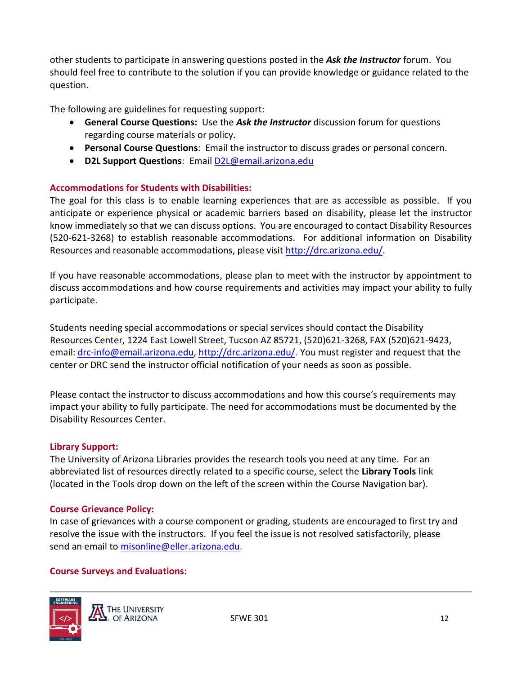other students to participate in answering questions posted in the *Ask the Instructor* forum. You should feel free to contribute to the solution if you can provide knowledge or guidance related to the question.

The following are guidelines for requesting support:

- **General Course Questions:** Use the *Ask the Instructor* discussion forum for questions regarding course materials or policy.
- **Personal Course Questions**: Email the instructor to discuss grades or personal concern.
- **D2L Support Questions**: Email [D2L@email.arizona.edu](mailto:D2L@email.arizona.edu)

#### **Accommodations for Students with Disabilities:**

The goal for this class is to enable learning experiences that are as accessible as possible. If you anticipate or experience physical or academic barriers based on disability, please let the instructor know immediately so that we can discuss options. You are encouraged to contact Disability Resources (520-621-3268) to establish reasonable accommodations. For additional information on Disability Resources and reasonable accommodations, please visit [http://drc.arizona.edu/.](http://drc.arizona.edu/)

If you have reasonable accommodations, please plan to meet with the instructor by appointment to discuss accommodations and how course requirements and activities may impact your ability to fully participate.

Students needing special accommodations or special services should contact the Disability Resources Center, 1224 East Lowell Street, Tucson AZ 85721, (520)621-3268, FAX (520)621-9423, email: [drc-info@email.arizona.edu,](mailto:drc-info@email.arizona.edu) [http://drc.arizona.edu/.](http://drc.arizona.edu/) You must register and request that the center or DRC send the instructor official notification of your needs as soon as possible.

Please contact the instructor to discuss accommodations and how this course's requirements may impact your ability to fully participate. The need for accommodations must be documented by the Disability Resources Center.

#### **Library Support:**

The University of Arizona Libraries provides the research tools you need at any time. For an abbreviated list of resources directly related to a specific course, select the **Library Tools** link (located in the Tools drop down on the left of the screen within the Course Navigation bar).

#### **Course Grievance Policy:**

In case of grievances with a course component or grading, students are encouraged to first try and resolve the issue with the instructors. If you feel the issue is not resolved satisfactorily, please send an email to [misonline@eller.arizona.edu.](mailto:misonline@eller.arizona.edu)

# **Course Surveys and Evaluations:**